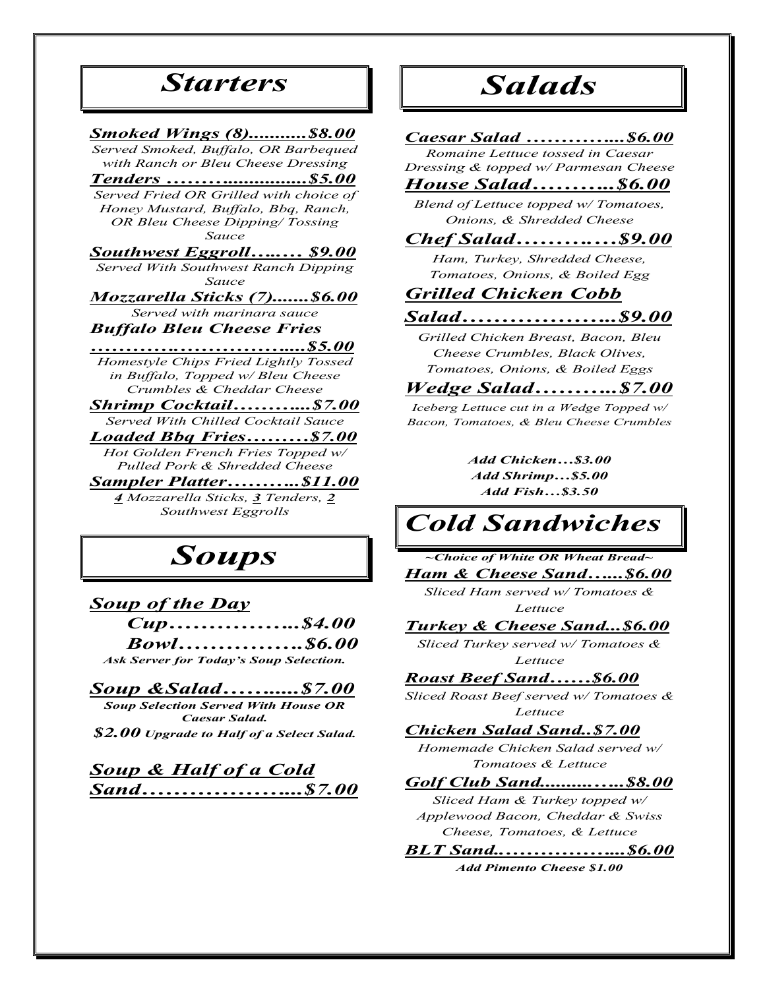## *Starters*

#### *Smoked Wings (8)...........\$8.00 Served Smoked, Buffalo, OR Barbequed*

*with Ranch or Bleu Cheese Dressing*

*Tenders ………...............\$5.00 Served Fried OR Grilled with choice of Honey Mustard, Buffalo, Bbq, Ranch, OR Bleu Cheese Dipping/ Tossing* 

*Sauce*

## *Southwest Eggroll…..… \$9.00*

*Served With Southwest Ranch Dipping Sauce*

*Mozzarella Sticks (7).......\$6.00 Served with marinara sauce*

#### *Buffalo Bleu Cheese Fries*

*………….……………....\$5.00 Homestyle Chips Fried Lightly Tossed in Buffalo, Topped w/ Bleu Cheese Crumbles & Cheddar Cheese*

*Shrimp Cocktail………...\$7.00 Served With Chilled Cocktail Sauce*

*Loaded Bbq Fries………\$7.00 Hot Golden French Fries Topped w/* 

*Pulled Pork & Shredded Cheese*

*Sampler Platter………..\$11.00 4 Mozzarella Sticks, 3 Tenders, 2 Southwest Eggrolls*

# *Soups*

#### *Soup of the Day*

*Cup……………..\$4.00 Bowl…………….\$6.00 Ask Server for Today's Soup Selection.*

*Soup &Salad…….....\$7.00*

*Soup Selection Served With House OR Caesar Salad.* 

*\$2.00 Upgrade to Half of a Select Salad.*

### *Soup & Half of a Cold Sand………………...\$7.00*

# *Salads*

#### *Caesar Salad …………...\$6.00*

*Romaine Lettuce tossed in Caesar Dressing & topped w/ Parmesan Cheese*

### *House Salad………..\$6.00*

*Blend of Lettuce topped w/ Tomatoes, Onions, & Shredded Cheese*

### *Chef Salad……….…\$9.00*

*Ham, Turkey, Shredded Cheese, Tomatoes, Onions, & Boiled Egg*

## *Grilled Chicken Cobb*

#### *Salad………………..\$9.00*

*Grilled Chicken Breast, Bacon, Bleu Cheese Crumbles, Black Olives, Tomatoes, Onions, & Boiled Eggs*

#### *Wedge Salad………..\$7.00*

*Iceberg Lettuce cut in a Wedge Topped w/ Bacon, Tomatoes, & Bleu Cheese Crumbles*

> *Add Chicken…\$3.00 Add Shrimp…\$5.00 Add Fish…\$3.50*

# *Cold Sandwiches*

*~Choice of White OR Wheat Bread~*

#### *Ham & Cheese Sand…...\$6.00*

*Sliced Ham served w/ Tomatoes & Lettuce*

#### *Turkey & Cheese Sand...\$6.00*

*Sliced Turkey served w/ Tomatoes & Lettuce*

#### *Roast Beef Sand……\$6.00*

*Sliced Roast Beef served w/ Tomatoes & Lettuce*

#### *Chicken Salad Sand..\$7.00*

*Homemade Chicken Salad served w/ Tomatoes & Lettuce*

#### *Golf Club Sand..........…..\$8.00*

*Sliced Ham & Turkey topped w/ Applewood Bacon, Cheddar & Swiss Cheese, Tomatoes, & Lettuce*

*BLT Sand..……………...\$6.00 Add Pimento Cheese \$1.00*